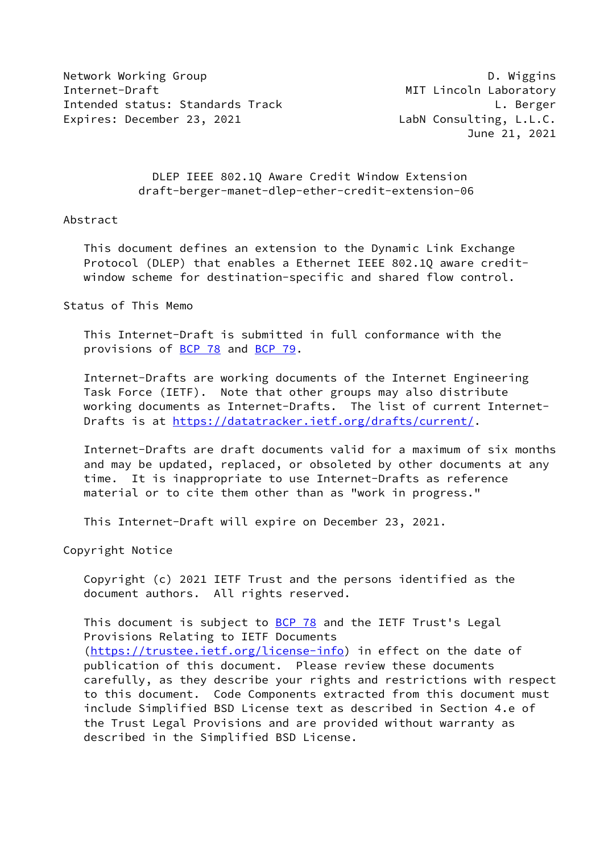Network Working Group **D. Wiggins** Internet-Draft MIT Lincoln Laboratory Intended status: Standards Track L. Berger Expires: December 23, 2021 LabN Consulting, L.L.C.

June 21, 2021

 DLEP IEEE 802.1Q Aware Credit Window Extension draft-berger-manet-dlep-ether-credit-extension-06

### Abstract

 This document defines an extension to the Dynamic Link Exchange Protocol (DLEP) that enables a Ethernet IEEE 802.1Q aware credit window scheme for destination-specific and shared flow control.

Status of This Memo

 This Internet-Draft is submitted in full conformance with the provisions of [BCP 78](https://datatracker.ietf.org/doc/pdf/bcp78) and [BCP 79](https://datatracker.ietf.org/doc/pdf/bcp79).

 Internet-Drafts are working documents of the Internet Engineering Task Force (IETF). Note that other groups may also distribute working documents as Internet-Drafts. The list of current Internet Drafts is at<https://datatracker.ietf.org/drafts/current/>.

 Internet-Drafts are draft documents valid for a maximum of six months and may be updated, replaced, or obsoleted by other documents at any time. It is inappropriate to use Internet-Drafts as reference material or to cite them other than as "work in progress."

This Internet-Draft will expire on December 23, 2021.

Copyright Notice

 Copyright (c) 2021 IETF Trust and the persons identified as the document authors. All rights reserved.

This document is subject to **[BCP 78](https://datatracker.ietf.org/doc/pdf/bcp78)** and the IETF Trust's Legal Provisions Relating to IETF Documents [\(https://trustee.ietf.org/license-info](https://trustee.ietf.org/license-info)) in effect on the date of publication of this document. Please review these documents carefully, as they describe your rights and restrictions with respect to this document. Code Components extracted from this document must include Simplified BSD License text as described in Section 4.e of the Trust Legal Provisions and are provided without warranty as described in the Simplified BSD License.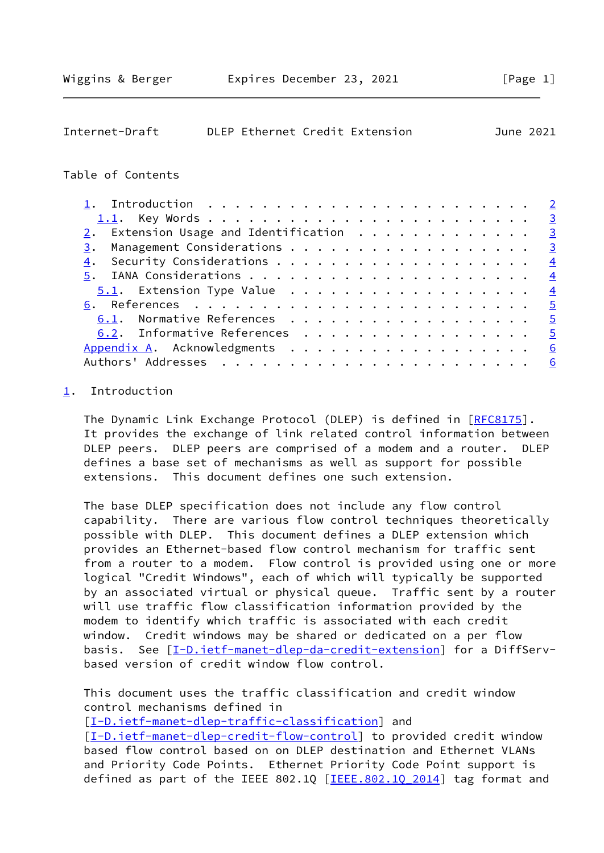<span id="page-1-1"></span>

| Internet-Draft |  | DLEP Ethernet Credit Extension | June 2021 |
|----------------|--|--------------------------------|-----------|
|                |  |                                |           |

### Table of Contents

| 2. Extension Usage and Identification $\cdots$ 3 |                 |
|--------------------------------------------------|-----------------|
| Management Considerations 3<br>3.                |                 |
| 4.                                               |                 |
|                                                  |                 |
|                                                  |                 |
|                                                  |                 |
| 6.1. Normative References 5                      |                 |
| 6.2. Informative References 5                    |                 |
|                                                  | 6               |
|                                                  | $6\overline{6}$ |

## <span id="page-1-0"></span>[1](#page-1-0). Introduction

The Dynamic Link Exchange Protocol (DLEP) is defined in [\[RFC8175](https://datatracker.ietf.org/doc/pdf/rfc8175)]. It provides the exchange of link related control information between DLEP peers. DLEP peers are comprised of a modem and a router. DLEP defines a base set of mechanisms as well as support for possible extensions. This document defines one such extension.

 The base DLEP specification does not include any flow control capability. There are various flow control techniques theoretically possible with DLEP. This document defines a DLEP extension which provides an Ethernet-based flow control mechanism for traffic sent from a router to a modem. Flow control is provided using one or more logical "Credit Windows", each of which will typically be supported by an associated virtual or physical queue. Traffic sent by a router will use traffic flow classification information provided by the modem to identify which traffic is associated with each credit window. Credit windows may be shared or dedicated on a per flow basis. See [\[I-D.ietf-manet-dlep-da-credit-extension](#page-5-3)] for a DiffServbased version of credit window flow control.

 This document uses the traffic classification and credit window control mechanisms defined in

[\[I-D.ietf-manet-dlep-traffic-classification\]](#page-4-5) and [\[I-D.ietf-manet-dlep-credit-flow-control](#page-4-6)] to provided credit window based flow control based on on DLEP destination and Ethernet VLANs and Priority Code Points. Ethernet Priority Code Point support is defined as part of the IEEE 802.1Q  $[IEEE.802.10 2014]$  tag format and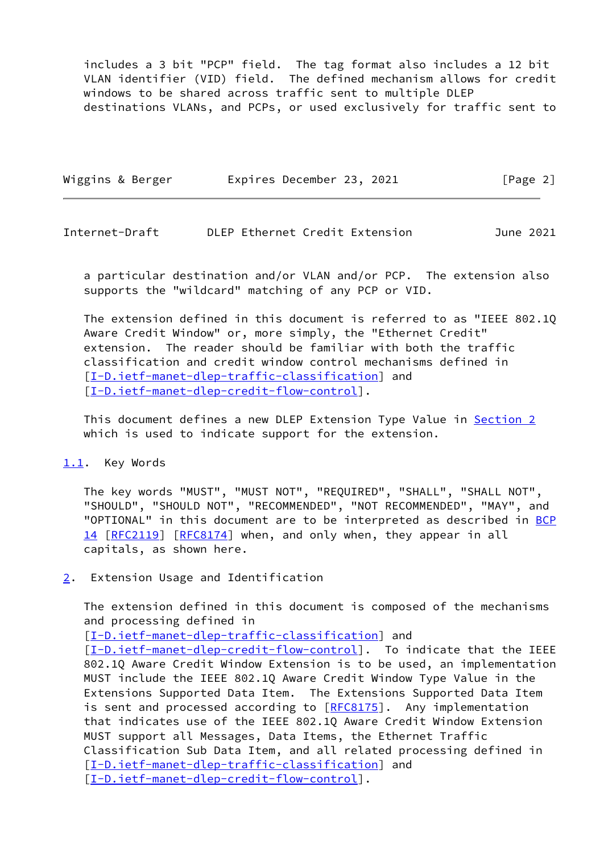includes a 3 bit "PCP" field. The tag format also includes a 12 bit VLAN identifier (VID) field. The defined mechanism allows for credit windows to be shared across traffic sent to multiple DLEP destinations VLANs, and PCPs, or used exclusively for traffic sent to

| Wiggins & Berger | Expires December 23, 2021 | [Page 2] |
|------------------|---------------------------|----------|
|                  |                           |          |

<span id="page-2-1"></span>Internet-Draft DLEP Ethernet Credit Extension June 2021

 a particular destination and/or VLAN and/or PCP. The extension also supports the "wildcard" matching of any PCP or VID.

 The extension defined in this document is referred to as "IEEE 802.1Q Aware Credit Window" or, more simply, the "Ethernet Credit" extension. The reader should be familiar with both the traffic classification and credit window control mechanisms defined in [\[I-D.ietf-manet-dlep-traffic-classification\]](#page-4-5) and [\[I-D.ietf-manet-dlep-credit-flow-control](#page-4-6)].

This document defines a new DLEP Extension Type Value in [Section 2](#page-2-2) which is used to indicate support for the extension.

#### <span id="page-2-0"></span>[1.1](#page-2-0). Key Words

 The key words "MUST", "MUST NOT", "REQUIRED", "SHALL", "SHALL NOT", "SHOULD", "SHOULD NOT", "RECOMMENDED", "NOT RECOMMENDED", "MAY", and "OPTIONAL" in this document are to be interpreted as described in [BCP](https://datatracker.ietf.org/doc/pdf/bcp14) [14](https://datatracker.ietf.org/doc/pdf/bcp14) [[RFC2119\]](https://datatracker.ietf.org/doc/pdf/rfc2119) [\[RFC8174](https://datatracker.ietf.org/doc/pdf/rfc8174)] when, and only when, they appear in all capitals, as shown here.

<span id="page-2-2"></span>[2](#page-2-2). Extension Usage and Identification

 The extension defined in this document is composed of the mechanisms and processing defined in

[\[I-D.ietf-manet-dlep-traffic-classification\]](#page-4-5) and

[\[I-D.ietf-manet-dlep-credit-flow-control](#page-4-6)]. To indicate that the IEEE 802.1Q Aware Credit Window Extension is to be used, an implementation MUST include the IEEE 802.1Q Aware Credit Window Type Value in the Extensions Supported Data Item. The Extensions Supported Data Item is sent and processed according to [[RFC8175\]](https://datatracker.ietf.org/doc/pdf/rfc8175). Any implementation that indicates use of the IEEE 802.1Q Aware Credit Window Extension MUST support all Messages, Data Items, the Ethernet Traffic Classification Sub Data Item, and all related processing defined in [\[I-D.ietf-manet-dlep-traffic-classification\]](#page-4-5) and [\[I-D.ietf-manet-dlep-credit-flow-control](#page-4-6)].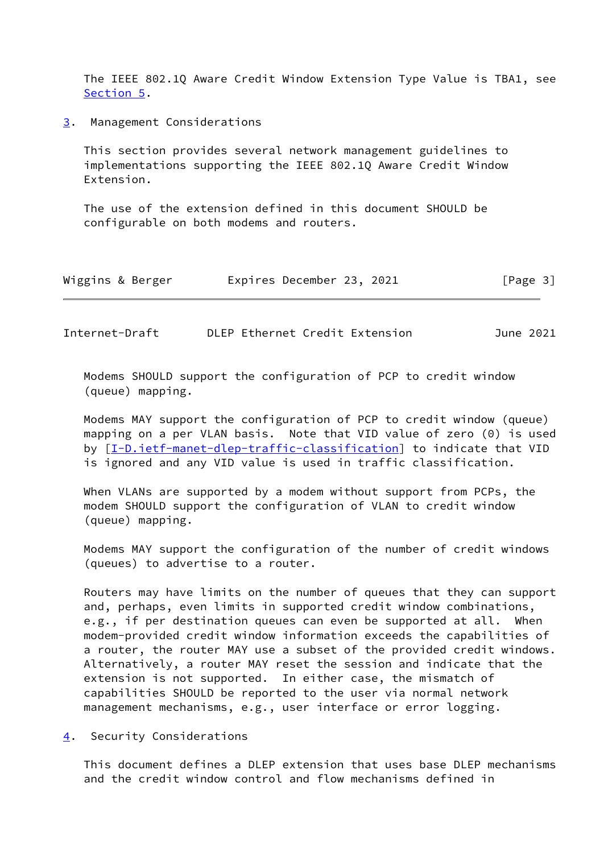The IEEE 802.1Q Aware Credit Window Extension Type Value is TBA1, see [Section 5](#page-4-0).

<span id="page-3-0"></span>[3](#page-3-0). Management Considerations

 This section provides several network management guidelines to implementations supporting the IEEE 802.1Q Aware Credit Window Extension.

 The use of the extension defined in this document SHOULD be configurable on both modems and routers.

| Wiggins & Berger | Expires December 23, 2021 |  | [Page 3] |
|------------------|---------------------------|--|----------|
|------------------|---------------------------|--|----------|

<span id="page-3-2"></span>Internet-Draft DLEP Ethernet Credit Extension June 2021

 Modems SHOULD support the configuration of PCP to credit window (queue) mapping.

 Modems MAY support the configuration of PCP to credit window (queue) mapping on a per VLAN basis. Note that VID value of zero (0) is used by [[I-D.ietf-manet-dlep-traffic-classification\]](#page-4-5) to indicate that VID is ignored and any VID value is used in traffic classification.

 When VLANs are supported by a modem without support from PCPs, the modem SHOULD support the configuration of VLAN to credit window (queue) mapping.

 Modems MAY support the configuration of the number of credit windows (queues) to advertise to a router.

 Routers may have limits on the number of queues that they can support and, perhaps, even limits in supported credit window combinations, e.g., if per destination queues can even be supported at all. When modem-provided credit window information exceeds the capabilities of a router, the router MAY use a subset of the provided credit windows. Alternatively, a router MAY reset the session and indicate that the extension is not supported. In either case, the mismatch of capabilities SHOULD be reported to the user via normal network management mechanisms, e.g., user interface or error logging.

<span id="page-3-1"></span>[4](#page-3-1). Security Considerations

 This document defines a DLEP extension that uses base DLEP mechanisms and the credit window control and flow mechanisms defined in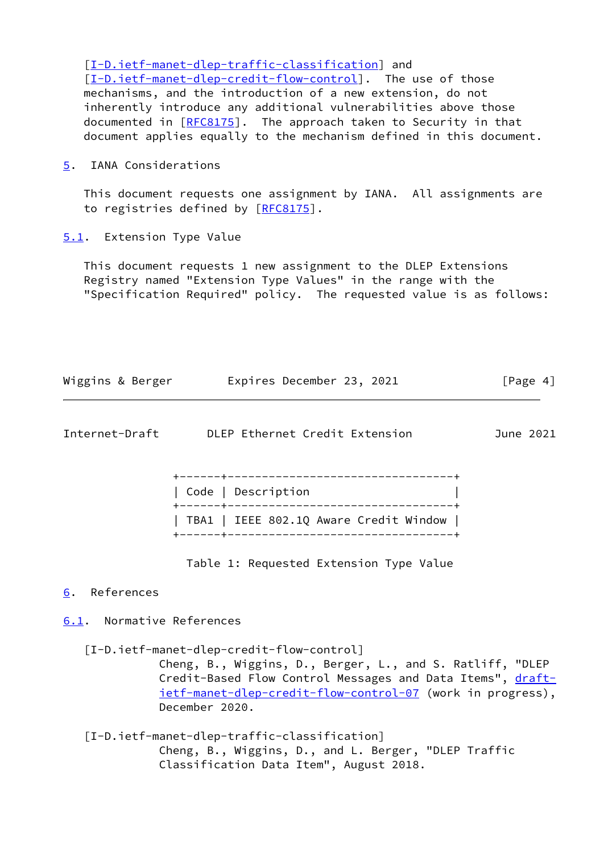[\[I-D.ietf-manet-dlep-traffic-classification\]](#page-4-5) and [\[I-D.ietf-manet-dlep-credit-flow-control](#page-4-6)]. The use of those mechanisms, and the introduction of a new extension, do not inherently introduce any additional vulnerabilities above those documented in [[RFC8175](https://datatracker.ietf.org/doc/pdf/rfc8175)]. The approach taken to Security in that document applies equally to the mechanism defined in this document.

<span id="page-4-0"></span>[5](#page-4-0). IANA Considerations

 This document requests one assignment by IANA. All assignments are to registries defined by [\[RFC8175](https://datatracker.ietf.org/doc/pdf/rfc8175)].

<span id="page-4-1"></span>[5.1](#page-4-1). Extension Type Value

 This document requests 1 new assignment to the DLEP Extensions Registry named "Extension Type Values" in the range with the "Specification Required" policy. The requested value is as follows:

| Wiggins & Berger | Expires December 23, 2021 | [Page 4] |
|------------------|---------------------------|----------|
|------------------|---------------------------|----------|

<span id="page-4-3"></span>

| Internet-Draft |  |  |  | DLEP Ethernet Credit Extension | June 2021 |  |
|----------------|--|--|--|--------------------------------|-----------|--|
|----------------|--|--|--|--------------------------------|-----------|--|

| Code   Description                     |  |
|----------------------------------------|--|
|                                        |  |
| TBA1   IEEE 802.1Q Aware Credit Window |  |

Table 1: Requested Extension Type Value

### <span id="page-4-2"></span>[6](#page-4-2). References

# <span id="page-4-4"></span>[6.1](#page-4-4). Normative References

<span id="page-4-6"></span>[I-D.ietf-manet-dlep-credit-flow-control]

 Cheng, B., Wiggins, D., Berger, L., and S. Ratliff, "DLEP Credit-Based Flow Control Messages and Data Items", [draft](https://datatracker.ietf.org/doc/pdf/draft-ietf-manet-dlep-credit-flow-control-07) [ietf-manet-dlep-credit-flow-control-07](https://datatracker.ietf.org/doc/pdf/draft-ietf-manet-dlep-credit-flow-control-07) (work in progress), December 2020.

<span id="page-4-5"></span> [I-D.ietf-manet-dlep-traffic-classification] Cheng, B., Wiggins, D., and L. Berger, "DLEP Traffic Classification Data Item", August 2018.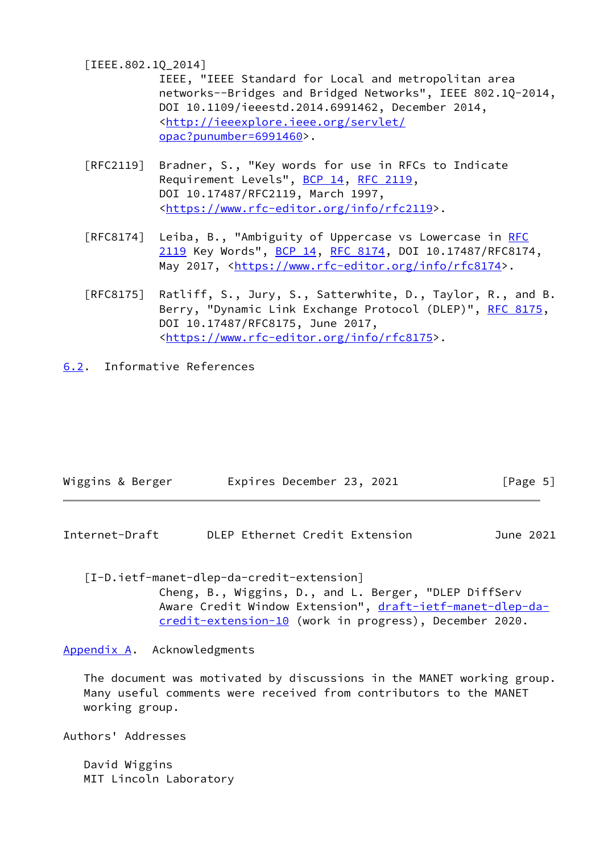<span id="page-5-4"></span>[IEEE.802.1Q\_2014]

 IEEE, "IEEE Standard for Local and metropolitan area networks--Bridges and Bridged Networks", IEEE 802.1Q-2014, DOI 10.1109/ieeestd.2014.6991462, December 2014, <[http://ieeexplore.ieee.org/servlet/](http://ieeexplore.ieee.org/servlet/opac?punumber=6991460) [opac?punumber=6991460>](http://ieeexplore.ieee.org/servlet/opac?punumber=6991460).

- [RFC2119] Bradner, S., "Key words for use in RFCs to Indicate Requirement Levels", [BCP 14](https://datatracker.ietf.org/doc/pdf/bcp14), [RFC 2119](https://datatracker.ietf.org/doc/pdf/rfc2119), DOI 10.17487/RFC2119, March 1997, <[https://www.rfc-editor.org/info/rfc2119>](https://www.rfc-editor.org/info/rfc2119).
- [RFC8174] Leiba, B., "Ambiguity of Uppercase vs Lowercase in [RFC](https://datatracker.ietf.org/doc/pdf/rfc2119) [2119](https://datatracker.ietf.org/doc/pdf/rfc2119) Key Words", [BCP 14](https://datatracker.ietf.org/doc/pdf/bcp14), [RFC 8174,](https://datatracker.ietf.org/doc/pdf/rfc8174) DOI 10.17487/RFC8174, May 2017, [<https://www.rfc-editor.org/info/rfc8174](https://www.rfc-editor.org/info/rfc8174)>.
- [RFC8175] Ratliff, S., Jury, S., Satterwhite, D., Taylor, R., and B. Berry, "Dynamic Link Exchange Protocol (DLEP)", [RFC 8175,](https://datatracker.ietf.org/doc/pdf/rfc8175) DOI 10.17487/RFC8175, June 2017, <[https://www.rfc-editor.org/info/rfc8175>](https://www.rfc-editor.org/info/rfc8175).
- <span id="page-5-0"></span>[6.2](#page-5-0). Informative References

| Wiggins & Berger | Expires December 23, 2021 |  | [Page 5] |
|------------------|---------------------------|--|----------|
|------------------|---------------------------|--|----------|

<span id="page-5-2"></span>Internet-Draft DLEP Ethernet Credit Extension June 2021

<span id="page-5-3"></span>[I-D.ietf-manet-dlep-da-credit-extension]

 Cheng, B., Wiggins, D., and L. Berger, "DLEP DiffServ Aware Credit Window Extension", [draft-ietf-manet-dlep-da](https://datatracker.ietf.org/doc/pdf/draft-ietf-manet-dlep-da-credit-extension-10) [credit-extension-10](https://datatracker.ietf.org/doc/pdf/draft-ietf-manet-dlep-da-credit-extension-10) (work in progress), December 2020.

<span id="page-5-1"></span>[Appendix A.](#page-5-1) Acknowledgments

 The document was motivated by discussions in the MANET working group. Many useful comments were received from contributors to the MANET working group.

Authors' Addresses

 David Wiggins MIT Lincoln Laboratory